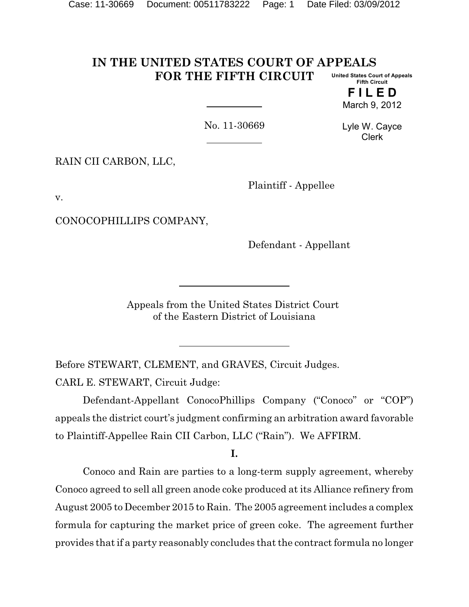#### **IN THE UNITED STATES COURT OF APPEALS FOR THE FIFTH CIRCUIT United States Court of Appeals Fifth Circuit**

**F I L E D** March 9, 2012

No. 11-30669

Lyle W. Cayce Clerk

RAIN CII CARBON, LLC,

Plaintiff - Appellee

v.

CONOCOPHILLIPS COMPANY,

Defendant - Appellant

Appeals from the United States District Court of the Eastern District of Louisiana

Before STEWART, CLEMENT, and GRAVES, Circuit Judges. CARL E. STEWART, Circuit Judge:

Defendant-Appellant ConocoPhillips Company ("Conoco" or "COP") appeals the district court's judgment confirming an arbitration award favorable to Plaintiff-Appellee Rain CII Carbon, LLC ("Rain"). We AFFIRM.

**I.**

Conoco and Rain are parties to a long-term supply agreement, whereby Conoco agreed to sell all green anode coke produced at its Alliance refinery from August 2005 to December 2015 to Rain. The 2005 agreement includes a complex formula for capturing the market price of green coke. The agreement further provides that if a party reasonably concludes that the contract formula no longer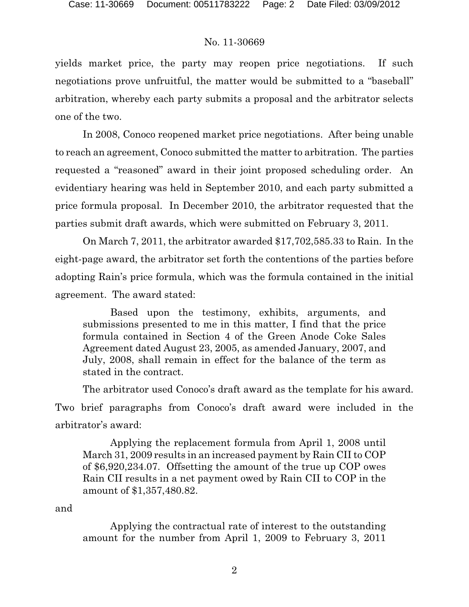yields market price, the party may reopen price negotiations. If such negotiations prove unfruitful, the matter would be submitted to a "baseball" arbitration, whereby each party submits a proposal and the arbitrator selects one of the two.

In 2008, Conoco reopened market price negotiations. After being unable to reach an agreement, Conoco submitted the matter to arbitration. The parties requested a "reasoned" award in their joint proposed scheduling order. An evidentiary hearing was held in September 2010, and each party submitted a price formula proposal. In December 2010, the arbitrator requested that the parties submit draft awards, which were submitted on February 3, 2011.

On March 7, 2011, the arbitrator awarded \$17,702,585.33 to Rain. In the eight-page award, the arbitrator set forth the contentions of the parties before adopting Rain's price formula, which was the formula contained in the initial agreement. The award stated:

Based upon the testimony, exhibits, arguments, and submissions presented to me in this matter, I find that the price formula contained in Section 4 of the Green Anode Coke Sales Agreement dated August 23, 2005, as amended January, 2007, and July, 2008, shall remain in effect for the balance of the term as stated in the contract.

The arbitrator used Conoco's draft award as the template for his award. Two brief paragraphs from Conoco's draft award were included in the arbitrator's award:

Applying the replacement formula from April 1, 2008 until March 31, 2009 results in an increased payment by Rain CII to COP of \$6,920,234.07. Offsetting the amount of the true up COP owes Rain CII results in a net payment owed by Rain CII to COP in the amount of \$1,357,480.82.

and

Applying the contractual rate of interest to the outstanding amount for the number from April 1, 2009 to February 3, 2011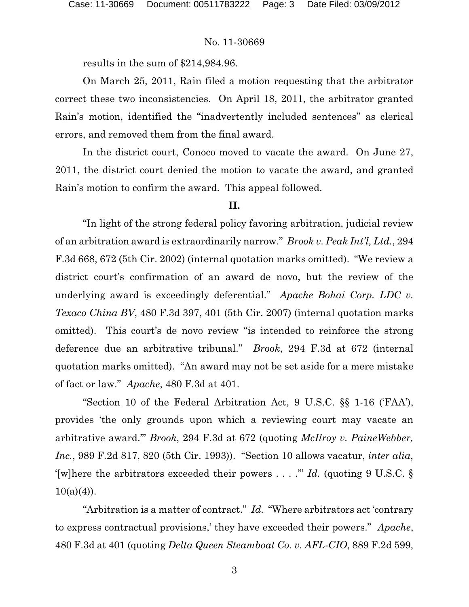results in the sum of \$214,984.96.

On March 25, 2011, Rain filed a motion requesting that the arbitrator correct these two inconsistencies. On April 18, 2011, the arbitrator granted Rain's motion, identified the "inadvertently included sentences" as clerical errors, and removed them from the final award.

In the district court, Conoco moved to vacate the award. On June 27, 2011, the district court denied the motion to vacate the award, and granted Rain's motion to confirm the award. This appeal followed.

### **II.**

"In light of the strong federal policy favoring arbitration, judicial review of an arbitration award is extraordinarily narrow." *Brook v. Peak Int'l, Ltd.*, 294 F.3d 668, 672 (5th Cir. 2002) (internal quotation marks omitted). "We review a district court's confirmation of an award de novo, but the review of the underlying award is exceedingly deferential." *Apache Bohai Corp. LDC v. Texaco China BV*, 480 F.3d 397, 401 (5th Cir. 2007) (internal quotation marks omitted). This court's de novo review "is intended to reinforce the strong deference due an arbitrative tribunal." *Brook*, 294 F.3d at 672 (internal quotation marks omitted). "An award may not be set aside for a mere mistake of fact or law." *Apache*, 480 F.3d at 401.

"Section 10 of the Federal Arbitration Act, 9 U.S.C. §§ 1-16 ('FAA'), provides 'the only grounds upon which a reviewing court may vacate an arbitrative award.'" *Brook*, 294 F.3d at 672 (quoting *McIlroy v. PaineWebber, Inc.*, 989 F.2d 817, 820 (5th Cir. 1993)). "Section 10 allows vacatur, *inter alia*, '[w]here the arbitrators exceeded their powers . . . .'" *Id.* (quoting 9 U.S.C. §  $10(a)(4)$ ).

"Arbitration is a matter of contract." *Id.* "Where arbitrators act 'contrary to express contractual provisions,' they have exceeded their powers." *Apache*, 480 F.3d at 401 (quoting *Delta Queen Steamboat Co. v. AFL-CIO*, 889 F.2d 599,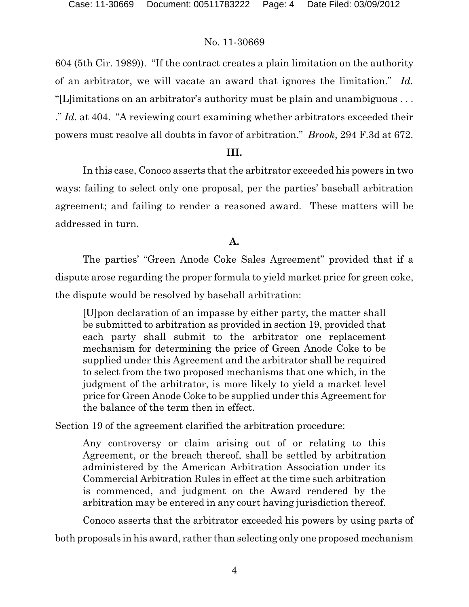604 (5th Cir. 1989)). "If the contract creates a plain limitation on the authority of an arbitrator, we will vacate an award that ignores the limitation." *Id.* "[L]imitations on an arbitrator's authority must be plain and unambiguous . . . ." *Id.* at 404. "A reviewing court examining whether arbitrators exceeded their powers must resolve all doubts in favor of arbitration." *Brook*, 294 F.3d at 672.

### **III.**

In this case, Conoco asserts that the arbitrator exceeded his powers in two ways: failing to select only one proposal, per the parties' baseball arbitration agreement; and failing to render a reasoned award. These matters will be addressed in turn.

# **A.**

The parties' "Green Anode Coke Sales Agreement" provided that if a dispute arose regarding the proper formula to yield market price for green coke, the dispute would be resolved by baseball arbitration:

[U]pon declaration of an impasse by either party, the matter shall be submitted to arbitration as provided in section 19, provided that each party shall submit to the arbitrator one replacement mechanism for determining the price of Green Anode Coke to be supplied under this Agreement and the arbitrator shall be required to select from the two proposed mechanisms that one which, in the judgment of the arbitrator, is more likely to yield a market level price for Green Anode Coke to be supplied under this Agreement for the balance of the term then in effect.

Section 19 of the agreement clarified the arbitration procedure:

Any controversy or claim arising out of or relating to this Agreement, or the breach thereof, shall be settled by arbitration administered by the American Arbitration Association under its Commercial Arbitration Rules in effect at the time such arbitration is commenced, and judgment on the Award rendered by the arbitration may be entered in any court having jurisdiction thereof.

Conoco asserts that the arbitrator exceeded his powers by using parts of both proposals in his award, rather than selecting only one proposed mechanism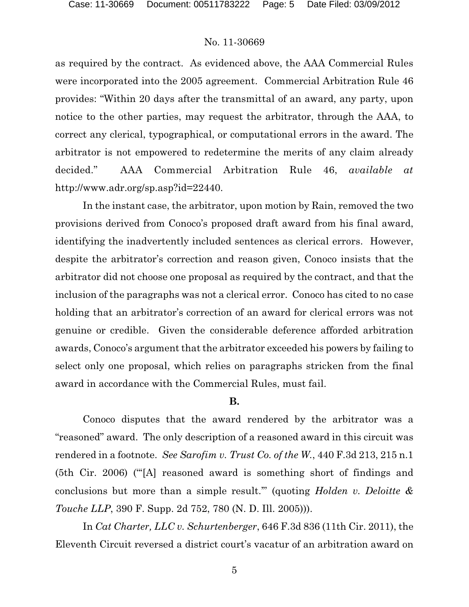as required by the contract. As evidenced above, the AAA Commercial Rules were incorporated into the 2005 agreement. Commercial Arbitration Rule 46 provides: "Within 20 days after the transmittal of an award, any party, upon notice to the other parties, may request the arbitrator, through the AAA, to correct any clerical, typographical, or computational errors in the award. The arbitrator is not empowered to redetermine the merits of any claim already decided." AAA Commercial Arbitration Rule 46, *available at* http://www.adr.org/sp.asp?id=22440.

In the instant case, the arbitrator, upon motion by Rain, removed the two provisions derived from Conoco's proposed draft award from his final award, identifying the inadvertently included sentences as clerical errors. However, despite the arbitrator's correction and reason given, Conoco insists that the arbitrator did not choose one proposal as required by the contract, and that the inclusion of the paragraphs was not a clerical error. Conoco has cited to no case holding that an arbitrator's correction of an award for clerical errors was not genuine or credible. Given the considerable deference afforded arbitration awards, Conoco's argument that the arbitrator exceeded his powers by failing to select only one proposal, which relies on paragraphs stricken from the final award in accordance with the Commercial Rules, must fail.

### **B.**

Conoco disputes that the award rendered by the arbitrator was a "reasoned" award. The only description of a reasoned award in this circuit was rendered in a footnote. *See Sarofim v. Trust Co. of the W.*, 440 F.3d 213, 215 n.1 (5th Cir. 2006) ("'[A] reasoned award is something short of findings and conclusions but more than a simple result.'" (quoting *Holden v. Deloitte & Touche LLP*, 390 F. Supp. 2d 752, 780 (N. D. Ill. 2005))).

In *Cat Charter, LLC v. Schurtenberger*, 646 F.3d 836 (11th Cir. 2011), the Eleventh Circuit reversed a district court's vacatur of an arbitration award on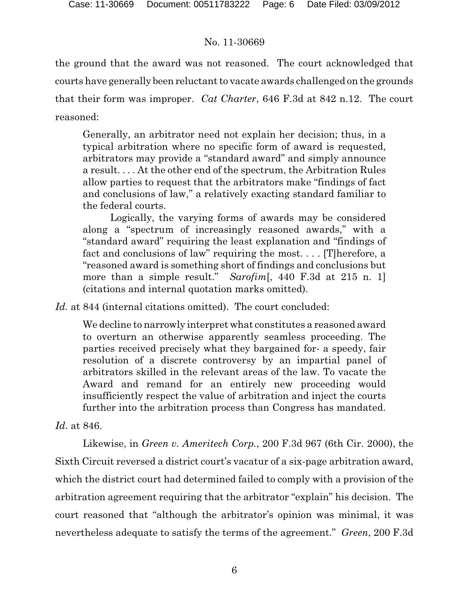the ground that the award was not reasoned. The court acknowledged that courts have generally been reluctant to vacate awards challenged on the grounds that their form was improper. *Cat Charter*, 646 F.3d at 842 n.12. The court reasoned:

Generally, an arbitrator need not explain her decision; thus, in a typical arbitration where no specific form of award is requested, arbitrators may provide a "standard award" and simply announce a result. . . . At the other end of the spectrum, the Arbitration Rules allow parties to request that the arbitrators make "findings of fact and conclusions of law," a relatively exacting standard familiar to the federal courts.

Logically, the varying forms of awards may be considered along a "spectrum of increasingly reasoned awards," with a "standard award" requiring the least explanation and "findings of fact and conclusions of law" requiring the most. . . . [T]herefore, a "reasoned award is something short of findings and conclusions but more than a simple result." *Sarofim*[, 440 F.3d at 215 n. 1] (citations and internal quotation marks omitted).

*Id.* at 844 (internal citations omitted). The court concluded:

We decline to narrowly interpret what constitutes a reasoned award to overturn an otherwise apparently seamless proceeding. The parties received precisely what they bargained for- a speedy, fair resolution of a discrete controversy by an impartial panel of arbitrators skilled in the relevant areas of the law. To vacate the Award and remand for an entirely new proceeding would insufficiently respect the value of arbitration and inject the courts further into the arbitration process than Congress has mandated.

# *Id*. at 846.

Likewise, in *Green v. Ameritech Corp.*, 200 F.3d 967 (6th Cir. 2000), the Sixth Circuit reversed a district court's vacatur of a six-page arbitration award, which the district court had determined failed to comply with a provision of the arbitration agreement requiring that the arbitrator "explain" his decision. The court reasoned that "although the arbitrator's opinion was minimal, it was nevertheless adequate to satisfy the terms of the agreement." *Green*, 200 F.3d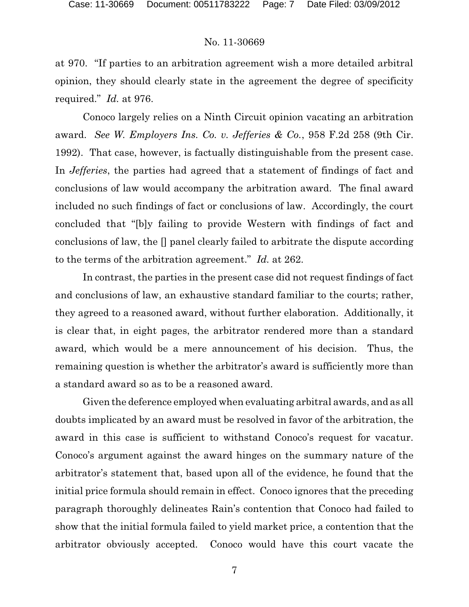at 970. "If parties to an arbitration agreement wish a more detailed arbitral opinion, they should clearly state in the agreement the degree of specificity required." *Id.* at 976.

Conoco largely relies on a Ninth Circuit opinion vacating an arbitration award. *See W. Employers Ins. Co. v. Jefferies & Co.*, 958 F.2d 258 (9th Cir. 1992). That case, however, is factually distinguishable from the present case. In *Jefferies*, the parties had agreed that a statement of findings of fact and conclusions of law would accompany the arbitration award. The final award included no such findings of fact or conclusions of law. Accordingly, the court concluded that "[b]y failing to provide Western with findings of fact and conclusions of law, the [] panel clearly failed to arbitrate the dispute according to the terms of the arbitration agreement." *Id.* at 262.

In contrast, the parties in the present case did not request findings of fact and conclusions of law, an exhaustive standard familiar to the courts; rather, they agreed to a reasoned award, without further elaboration. Additionally, it is clear that, in eight pages, the arbitrator rendered more than a standard award, which would be a mere announcement of his decision. Thus, the remaining question is whether the arbitrator's award is sufficiently more than a standard award so as to be a reasoned award.

Given the deference employed when evaluating arbitral awards, and as all doubts implicated by an award must be resolved in favor of the arbitration, the award in this case is sufficient to withstand Conoco's request for vacatur. Conoco's argument against the award hinges on the summary nature of the arbitrator's statement that, based upon all of the evidence, he found that the initial price formula should remain in effect. Conoco ignores that the preceding paragraph thoroughly delineates Rain's contention that Conoco had failed to show that the initial formula failed to yield market price, a contention that the arbitrator obviously accepted. Conoco would have this court vacate the